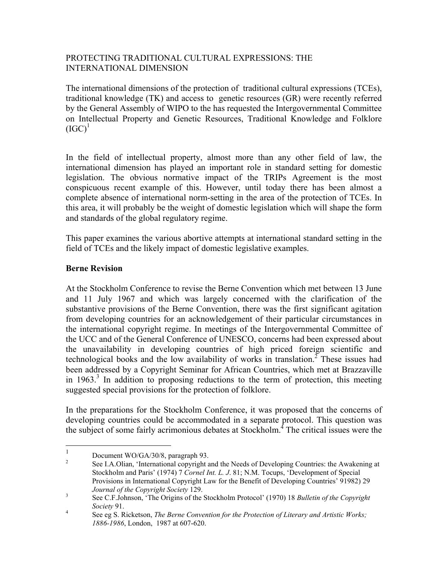## PROTECTING TRADITIONAL CULTURAL EXPRESSIONS: THE INTERNATIONAL DIMENSION

The international dimensions of the protection of traditional cultural expressions (TCEs), traditional knowledge (TK) and access to genetic resources (GR) were recently referred by the General Assembly of WIPO to the has requested the Intergovernmental Committee on Intellectual Property and Genetic Resources, Traditional Knowledge and Folklore  ${(IGC)}^1$  ${(IGC)}^1$ 

In the field of intellectual property, almost more than any other field of law, the international dimension has played an important role in standard setting for domestic legislation. The obvious normative impact of the TRIPs Agreement is the most conspicuous recent example of this. However, until today there has been almost a complete absence of international norm-setting in the area of the protection of TCEs. In this area, it will probably be the weight of domestic legislation which will shape the form and standards of the global regulatory regime.

This paper examines the various abortive attempts at international standard setting in the field of TCEs and the likely impact of domestic legislative examples.

# **Berne Revision**

At the Stockholm Conference to revise the Berne Convention which met between 13 June and 11 July 1967 and which was largely concerned with the clarification of the substantive provisions of the Berne Convention, there was the first significant agitation from developing countries for an acknowledgement of their particular circumstances in the international copyright regime. In meetings of the Intergovernmental Committee of the UCC and of the General Conference of UNESCO, concerns had been expressed about the unavailability in developing countries of high priced foreign scientific and technological books and the low availability of works in translation.<sup>2</sup> These issues had been addressed by a Copyright Seminar for African Countries, which met at Brazzaville in $1963$ <sup>3</sup>. In addition to proposing reductions to the term of protection, this meeting suggested special provisions for the protection of folklore.

In the preparations for the Stockholm Conference, it was proposed that the concerns of developing countries could be accommodated in a separate protocol. This question was the subject of some fairly acrimonious debates at Stockholm.<sup>[4](#page-0-3)</sup> The critical issues were the

<span id="page-0-0"></span> $\frac{1}{1}$  $\frac{1}{2}$  Document WO/GA/30/8, paragraph 93.

<span id="page-0-1"></span>See I.A.Olian, 'International copyright and the Needs of Developing Countries: the Awakening at Stockholm and Paris' (1974) 7 *Cornel Int. L. J*. 81; N.M. Tocups, 'Development of Special Provisions in International Copyright Law for the Benefit of Developing Countries' 91982) 29 *Journal of the Copyright Society 129.*<br><sup>3</sup> See G.E. Johnson *The Origins* of the

<span id="page-0-2"></span>See C.F.Johnson, 'The Origins of the Stockholm Protocol' (1970) 18 *Bulletin of the Copyright Society* 91.

<span id="page-0-3"></span>See eg S. Ricketson, *The Berne Convention for the Protection of Literary and Artistic Works; 1886-1986*, London, 1987 at 607-620.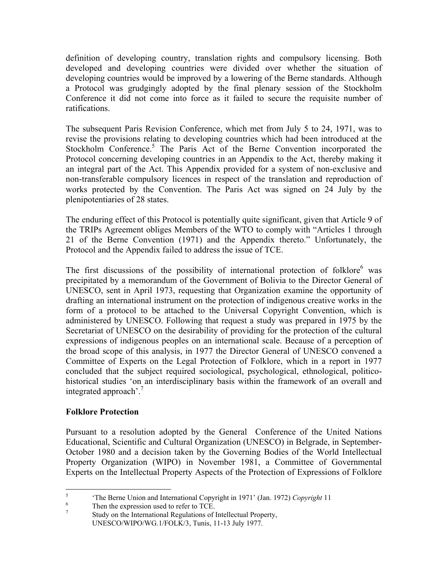definition of developing country, translation rights and compulsory licensing. Both developed and developing countries were divided over whether the situation of developing countries would be improved by a lowering of the Berne standards. Although a Protocol was grudgingly adopted by the final plenary session of the Stockholm Conference it did not come into force as it failed to secure the requisite number of ratifications.

The subsequent Paris Revision Conference, which met from July 5 to 24, 1971, was to revise the provisions relating to developing countries which had been introduced at the Stockholm Conference.<sup>[5](#page-1-0)</sup> The Paris Act of the Berne Convention incorporated the Protocol concerning developing countries in an Appendix to the Act, thereby making it an integral part of the Act. This Appendix provided for a system of non-exclusive and non-transferable compulsory licences in respect of the translation and reproduction of works protected by the Convention. The Paris Act was signed on 24 July by the plenipotentiaries of 28 states.

The enduring effect of this Protocol is potentially quite significant, given that Article 9 of the TRIPs Agreement obliges Members of the WTO to comply with "Articles 1 through 21 of the Berne Convention (1971) and the Appendix thereto." Unfortunately, the Protocol and the Appendix failed to address the issue of TCE.

The first discussions of the possibility of international protection of folklore $<sup>6</sup>$  $<sup>6</sup>$  $<sup>6</sup>$  was</sup> precipitated by a memorandum of the Government of Bolivia to the Director General of UNESCO, sent in April 1973, requesting that Organization examine the opportunity of drafting an international instrument on the protection of indigenous creative works in the form of a protocol to be attached to the Universal Copyright Convention, which is administered by UNESCO. Following that request a study was prepared in 1975 by the Secretariat of UNESCO on the desirability of providing for the protection of the cultural expressions of indigenous peoples on an international scale. Because of a perception of the broad scope of this analysis, in 1977 the Director General of UNESCO convened a Committee of Experts on the Legal Protection of Folklore, which in a report in 1977 concluded that the subject required sociological, psychological, ethnological, politicohistorical studies 'on an interdisciplinary basis within the framework of an overall and integrated approach'.<sup>7</sup>

# **Folklore Protection**

Pursuant to a resolution adopted by the General Conference of the United Nations Educational, Scientific and Cultural Organization (UNESCO) in Belgrade, in September-October 1980 and a decision taken by the Governing Bodies of the World Intellectual Property Organization (WIPO) in November 1981, a Committee of Governmental Experts on the Intellectual Property Aspects of the Protection of Expressions of Folklore

<span id="page-1-0"></span> $\frac{1}{5}$ <sup>5</sup><br>
The Berne Union and International Copyright in 1971' (Jan. 1972) *Copyright* 11<sup>6</sup>

<span id="page-1-1"></span>Then the expression used to refer to TCE.

<span id="page-1-2"></span><sup>7</sup> Study on the International Regulations of Intellectual Property, UNESCO/WIPO/WG.1/FOLK/3, Tunis, 11-13 July 1977.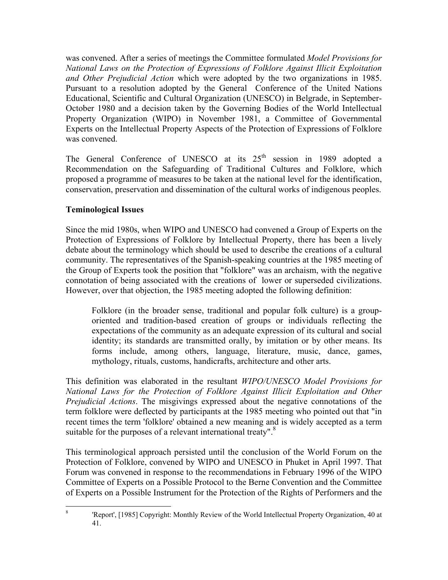was convened. After a series of meetings the Committee formulated *Model Provisions for National Laws on the Protection of Expressions of Folklore Against Illicit Exploitation and Other Prejudicial Action* which were adopted by the two organizations in 1985. Pursuant to a resolution adopted by the General Conference of the United Nations Educational, Scientific and Cultural Organization (UNESCO) in Belgrade, in September-October 1980 and a decision taken by the Governing Bodies of the World Intellectual Property Organization (WIPO) in November 1981, a Committee of Governmental Experts on the Intellectual Property Aspects of the Protection of Expressions of Folklore was convened.

The General Conference of UNESCO at its 25<sup>th</sup> session in 1989 adopted a Recommendation on the Safeguarding of Traditional Cultures and Folklore, which proposed a programme of measures to be taken at the national level for the identification, conservation, preservation and dissemination of the cultural works of indigenous peoples.

# **Teminological Issues**

Since the mid 1980s, when WIPO and UNESCO had convened a Group of Experts on the Protection of Expressions of Folklore by Intellectual Property, there has been a lively debate about the terminology which should be used to describe the creations of a cultural community. The representatives of the Spanish-speaking countries at the 1985 meeting of the Group of Experts took the position that "folklore" was an archaism, with the negative connotation of being associated with the creations of lower or superseded civilizations. However, over that objection, the 1985 meeting adopted the following definition:

 Folklore (in the broader sense, traditional and popular folk culture) is a grouporiented and tradition-based creation of groups or individuals reflecting the expectations of the community as an adequate expression of its cultural and social identity; its standards are transmitted orally, by imitation or by other means. Its forms include, among others, language, literature, music, dance, games, mythology, rituals, customs, handicrafts, architecture and other arts.

This definition was elaborated in the resultant *WIPO/UNESCO Model Provisions for National Laws for the Protection of Folklore Against Illicit Exploitation and Other Prejudicial Actions*. The misgivings expressed about the negative connotations of the term folklore were deflected by participants at the 1985 meeting who pointed out that "in recent times the term 'folklore' obtained a new meaning and is widely accepted as a term suitable for the purposes of a relevant international treaty". $8$ 

This terminological approach persisted until the conclusion of the World Forum on the Protection of Folklore, convened by WIPO and UNESCO in Phuket in April 1997. That Forum was convened in response to the recommendations in February 1996 of the WIPO Committee of Experts on a Possible Protocol to the Berne Convention and the Committee of Experts on a Possible Instrument for the Protection of the Rights of Performers and the

<span id="page-2-0"></span> 8 'Report', [1985] Copyright: Monthly Review of the World Intellectual Property Organization, 40 at 41.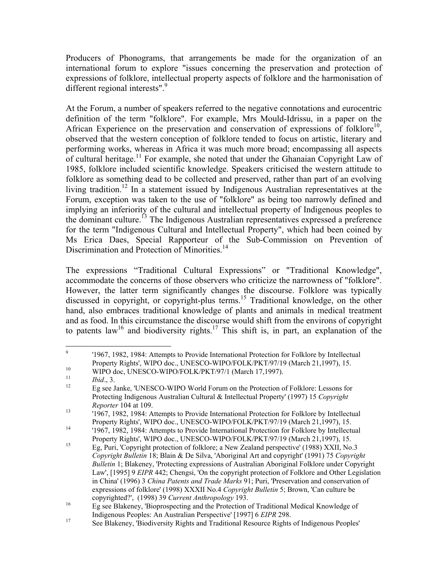<span id="page-3-8"></span>Producers of Phonograms, that arrangements be made for the organization of an international forum to explore "issues concerning the preservation and protection of expressions of folklore, intellectual property aspects of folklore and the harmonisation of different regional interests".

At the Forum, a number of speakers referred to the negative connotations and eurocentric definition of the term "folklore". For example, Mrs Mould-Idrissu, in a paper on the African Experience on the preservation and conservation of expressions of folklore<sup>10</sup>, observed that the western conception of folklore tended to focus on artistic, literary and performing works, whereas in Africa it was much more broad; encompassing all aspects of cultural heritage.<sup>11</sup> For example, she noted that under the Ghanaian Copyright Law of 1985, folklore included scientific knowledge. Speakers criticised the western attitude to folklore as something dead to be collected and preserved, rather than part of an evolving living tradition.<sup>12</sup> In a statement issued by Indigenous Australian representatives at the Forum, exception was taken to the use of "folklore" as being too narrowly defined and implying an inferiority of the cultural and intellectual property of Indigenous peoples to the dominant culture.<sup>13</sup> The Indigenous Australian representatives expressed a preference for the term "Indigenous Cultural and Intellectual Property", which had been coined by Ms Erica Daes, Special Rapporteur of the Sub-Commission on Prevention of Discrimination and Protection of Minorities.<sup>[14](#page-3-5)</sup>

The expressions "Traditional Cultural Expressions" or "Traditional Knowledge", accommodate the concerns of those observers who criticize the narrowness of "folklore". However, the latter term significantly changes the discourse. Folklore was typically discussed in copyright, or copyright-plus terms.<sup>15</sup> Traditional knowledge, on the other hand, also embraces traditional knowledge of plants and animals in medical treatment and as food. In this circumstance the discourse would shift from the environs of copyright to patents law<sup>16</sup> and biodiversity rights.<sup>17</sup> This shift is, in part, an explanation of the

<span id="page-3-0"></span><sup>-&</sup>lt;br>9 '1967, 1982, 1984: Attempts to Provide International Protection for Folklore by Intellectual Property Rights', WIPO doc., UNESCO-WIPO/FOLK/PKT/97/19 (March 21,1997), 15.<br>WIPO doc, UNESCO-WIPO/FOLK/PKT/97/1 (March 17,1997).

<span id="page-3-1"></span>

<span id="page-3-3"></span><span id="page-3-2"></span>

<sup>&</sup>lt;sup>11</sup> *Ibid.*, 3.<br><sup>12</sup> Eg see Janke, 'UNESCO-WIPO World Forum on the Protection of Folklore: Lessons for Protecting Indigenous Australian Cultural & Intellectual Property' (1997) 15 *Copyright* 

<span id="page-3-4"></span>*Reporter* 104 at 109.<br>
<sup>13</sup> 1967, 1982, 1984: Attempts to Provide International Protection for Folklore by Intellectual<br>
Property Rights', WIPO doc., UNESCO-WIPO/FOLK/PKT/97/19 (March 21,1997), 15.

<span id="page-3-5"></span>Property Rights', WIPO doc., UNESCO-WIPO/FOLK/PKT/97/19 (March 21,1997), 15. 14 '1967, 1982, 1984: Attempts to Provide International Protection for Folklore by Intellectual Property Rights', WIPO doc., UNESCO-WIPO/FOLK/PKT/97/19 (March 21,1997), 15. 15 Eg, Puri, 'Copyright protection of folklore; a New Zealand perspective' (1988) XXII, No.3

<span id="page-3-6"></span>*Copyright Bulletin* 18; Blain & De Silva, 'Aboriginal Art and copyright' (1991) 75 *Copyright Bulletin* 1; Blakeney, 'Protecting expressions of Australian Aboriginal Folklore under Copyright Law', [1995] 9 *EIPR* 442; Chengsi, 'On the copyright protection of Folklore and Other Legislation in China' (1996) 3 *China Patents and Trade Marks* 91; Puri, 'Preservation and conservation of expressions of folklore' (1998) XXXII No.4 *Copyright Bulletin* 5; Brown, 'Can culture be copyrighted?', (1998) 39 *Current Anthropology* 193.<br><sup>16</sup> Eg see Blakeney, 'Bioprospecting and the Protection of Traditional Medical Knowledge of

<span id="page-3-7"></span>Indigenous Peoples: An Australian Perspective' [1997] 6 *EIPR* 298.<br><sup>17</sup> See Blakeney, 'Biodiversity Rights and Traditional Resource Rights of Indigenous Peoples'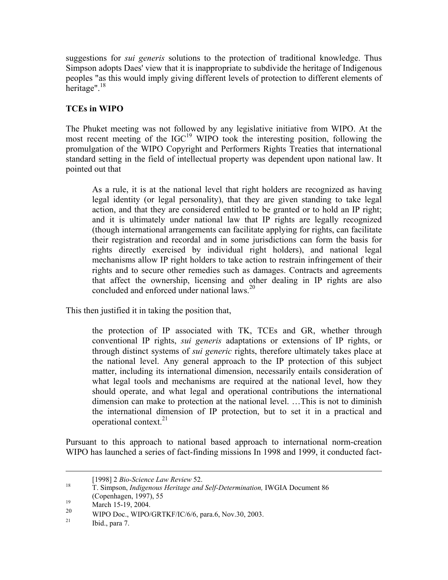suggestions for *sui generis* solutions to the protection of traditional knowledge. Thus Simpson adopts Daes' view that it is inappropriate to subdivide the heritage of Indigenous peoples "as this would imply giving different levels of protection to different elements of heritage". $18$ 

# **TCEs in WIPO**

The Phuket meeting was not followed by any legislative initiative from WIPO. At the most recent meeting of the  $IGC<sup>19</sup>$  WIPO took the interesting position, following the promulgation of the WIPO Copyright and Performers Rights Treaties that international standard setting in the field of intellectual property was dependent upon national law. It pointed out that

As a rule, it is at the national level that right holders are recognized as having legal identity (or legal personality), that they are given standing to take legal action, and that they are considered entitled to be granted or to hold an IP right; and it is ultimately under national law that IP rights are legally recognized (though international arrangements can facilitate applying for rights, can facilitate their registration and recordal and in some jurisdictions can form the basis for rights directly exercised by individual right holders), and national legal mechanisms allow IP right holders to take action to restrain infringement of their rights and to secure other remedies such as damages. Contracts and agreements that affect the ownership, licensing and other dealing in IP rights are also concluded and enforced under national laws.[20](#page-4-2)

This then justified it in taking the position that,

the protection of IP associated with TK, TCEs and GR, whether through conventional IP rights, *sui generis* adaptations or extensions of IP rights, or through distinct systems of *sui generic* rights, therefore ultimately takes place at the national level. Any general approach to the IP protection of this subject matter, including its international dimension, necessarily entails consideration of what legal tools and mechanisms are required at the national level, how they should operate, and what legal and operational contributions the international dimension can make to protection at the national level. …This is not to diminish the international dimension of IP protection, but to set it in a practical and operational context.<sup>21</sup>

Pursuant to this approach to national based approach to international norm-creation WIPO has launched a series of fact-finding missions In 1998 and 1999, it conducted fact-

<span id="page-4-0"></span> <sup>[1998] 2</sup> *Bio-Science Law Review* 52. 18 T. Simpson, *Indigenous Heritage and Self-Determination,* IWGIA Document 86 (Copenhagen, 1997), 55

<span id="page-4-1"></span> $19$  March 15-19, 2004.

<span id="page-4-2"></span><sup>&</sup>lt;sup>20</sup> WIPO Doc., WIPO/GRTKF/IC/6/6, para.6, Nov.30, 2003.<br>
<sup>21</sup> Ibid., para 7.

<span id="page-4-3"></span>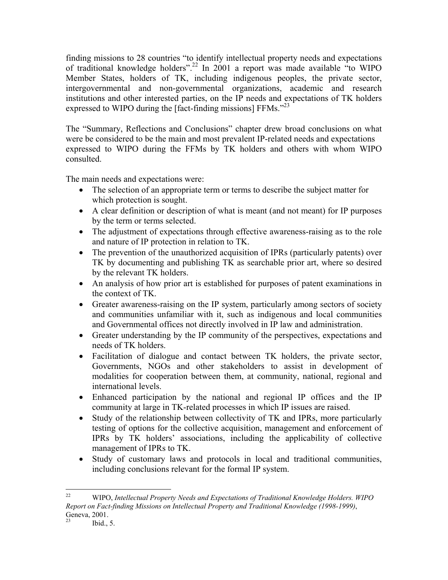finding missions to 28 countries "to identify intellectual property needs and expectations of traditional knowledge holders".[22](#page-5-0) In 2001 a report was made available "to WIPO Member States, holders of TK, including indigenous peoples, the private sector, intergovernmental and non-governmental organizations, academic and research institutions and other interested parties, on the IP needs and expectations of TK holders expressed to WIPO during the [fact-finding missions] FFMs."<sup>[23](#page-5-1)</sup>

The "Summary, Reflections and Conclusions" chapter drew broad conclusions on what were be considered to be the main and most prevalent IP-related needs and expectations expressed to WIPO during the FFMs by TK holders and others with whom WIPO consulted.

The main needs and expectations were:

- The selection of an appropriate term or terms to describe the subject matter for which protection is sought.
- A clear definition or description of what is meant (and not meant) for IP purposes by the term or terms selected.
- The adjustment of expectations through effective awareness-raising as to the role and nature of IP protection in relation to TK.
- The prevention of the unauthorized acquisition of IPRs (particularly patents) over TK by documenting and publishing TK as searchable prior art, where so desired by the relevant TK holders.
- An analysis of how prior art is established for purposes of patent examinations in the context of TK.
- Greater awareness-raising on the IP system, particularly among sectors of society and communities unfamiliar with it, such as indigenous and local communities and Governmental offices not directly involved in IP law and administration.
- Greater understanding by the IP community of the perspectives, expectations and needs of TK holders.
- Facilitation of dialogue and contact between TK holders, the private sector, Governments, NGOs and other stakeholders to assist in development of modalities for cooperation between them, at community, national, regional and international levels.
- Enhanced participation by the national and regional IP offices and the IP community at large in TK-related processes in which IP issues are raised.
- Study of the relationship between collectivity of TK and IPRs, more particularly testing of options for the collective acquisition, management and enforcement of IPRs by TK holders' associations, including the applicability of collective management of IPRs to TK.
- Study of customary laws and protocols in local and traditional communities, including conclusions relevant for the formal IP system.

<span id="page-5-0"></span> $22$ 22 WIPO, *Intellectual Property Needs and Expectations of Traditional Knowledge Holders. WIPO Report on Fact-finding Missions on Intellectual Property and Traditional Knowledge (1998-1999)*, Geneva, 2001.

<span id="page-5-1"></span> $^{23}$  Ibid., 5.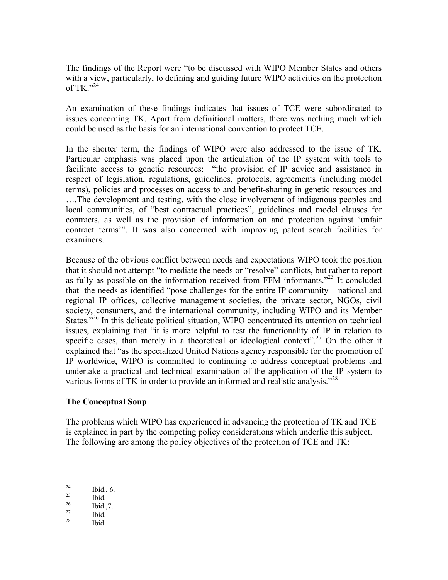The findings of the Report were "to be discussed with WIPO Member States and others with a view, particularly, to defining and guiding future WIPO activities on the protection of TK $"^{24}$  $"^{24}$  $"^{24}$ 

An examination of these findings indicates that issues of TCE were subordinated to issues concerning TK. Apart from definitional matters, there was nothing much which could be used as the basis for an international convention to protect TCE.

In the shorter term, the findings of WIPO were also addressed to the issue of TK. Particular emphasis was placed upon the articulation of the IP system with tools to facilitate access to genetic resources: "the provision of IP advice and assistance in respect of legislation, regulations, guidelines, protocols, agreements (including model terms), policies and processes on access to and benefit-sharing in genetic resources and ….The development and testing, with the close involvement of indigenous peoples and local communities, of "best contractual practices", guidelines and model clauses for contracts, as well as the provision of information on and protection against 'unfair contract terms'". It was also concerned with improving patent search facilities for examiners.

Because of the obvious conflict between needs and expectations WIPO took the position that it should not attempt "to mediate the needs or "resolve" conflicts, but rather to report as fully as possible on the information received from FFM informants.<sup>325</sup> It concluded that the needs as identified "pose challenges for the entire IP community – national and regional IP offices, collective management societies, the private sector, NGOs, civil society, consumers, and the international community, including WIPO and its Member States."<sup>26</sup> In this delicate political situation, WIPO concentrated its attention on technical issues, explaining that "it is more helpful to test the functionality of IP in relation to specific cases, than merely in a theoretical or ideological context".<sup>27</sup> On the other it explained that "as the specialized United Nations agency responsible for the promotion of IP worldwide, WIPO is committed to continuing to address conceptual problems and undertake a practical and technical examination of the application of the IP system to various forms of TK in order to provide an informed and realistic analysis.<sup> $28$ </sup>

#### **The Conceptual Soup**

The problems which WIPO has experienced in advancing the protection of TK and TCE is explained in part by the competing policy considerations which underlie this subject. The following are among the policy objectives of the protection of TCE and TK:

<span id="page-6-0"></span><sup>24</sup>  $\frac{24}{25}$  Ibid., 6.

<span id="page-6-1"></span> $rac{25}{26}$  Ibid.

<span id="page-6-2"></span> $\frac{26}{27}$  Ibid., 7.

<span id="page-6-3"></span> $\frac{27}{28}$  Ibid.

<span id="page-6-4"></span>Ibid.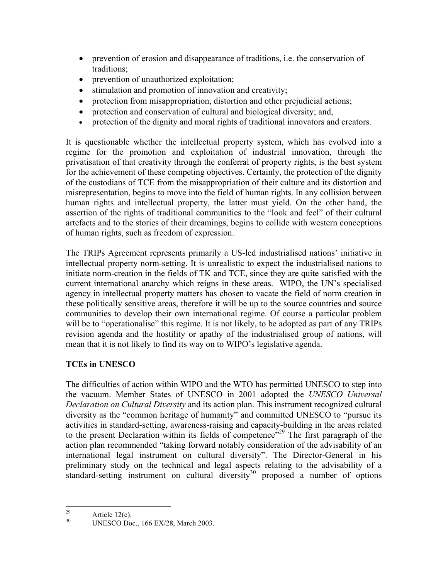- prevention of erosion and disappearance of traditions, i.e. the conservation of traditions;
- prevention of unauthorized exploitation;
- stimulation and promotion of innovation and creativity;
- protection from misappropriation, distortion and other prejudicial actions;
- protection and conservation of cultural and biological diversity; and,
- protection of the dignity and moral rights of traditional innovators and creators.

It is questionable whether the intellectual property system, which has evolved into a regime for the promotion and exploitation of industrial innovation, through the privatisation of that creativity through the conferral of property rights, is the best system for the achievement of these competing objectives. Certainly, the protection of the dignity of the custodians of TCE from the misappropriation of their culture and its distortion and misrepresentation, begins to move into the field of human rights. In any collision between human rights and intellectual property, the latter must yield. On the other hand, the assertion of the rights of traditional communities to the "look and feel" of their cultural artefacts and to the stories of their dreamings, begins to collide with western conceptions of human rights, such as freedom of expression.

The TRIPs Agreement represents primarily a US-led industrialised nations' initiative in intellectual property norm-setting. It is unrealistic to expect the industrialised nations to initiate norm-creation in the fields of TK and TCE, since they are quite satisfied with the current international anarchy which reigns in these areas. WIPO, the UN's specialised agency in intellectual property matters has chosen to vacate the field of norm creation in these politically sensitive areas, therefore it will be up to the source countries and source communities to develop their own international regime. Of course a particular problem will be to "operationalise" this regime. It is not likely, to be adopted as part of any TRIPs revision agenda and the hostility or apathy of the industrialised group of nations, will mean that it is not likely to find its way on to WIPO's legislative agenda.

# **TCEs in UNESCO**

The difficulties of action within WIPO and the WTO has permitted UNESCO to step into the vacuum. Member States of UNESCO in 2001 adopted the *UNESCO Universal Declaration on Cultural Diversity* and its action plan. This instrument recognized cultural diversity as the "common heritage of humanity" and committed UNESCO to "pursue its activities in standard-setting, awareness-raising and capacity-building in the areas related to the present Declaration within its fields of competence<sup> $529$ </sup> The first paragraph of the action plan recommended "taking forward notably consideration of the advisability of an international legal instrument on cultural diversity". The Director-General in his preliminary study on the technical and legal aspects relating to the advisability of a standard-setting instrument on cultural diversity<sup>30</sup> proposed a number of options

<span id="page-7-0"></span><sup>29</sup> <sup>29</sup> Article 12(c).

<span id="page-7-1"></span><sup>30</sup> UNESCO Doc., 166 EX/28, March 2003.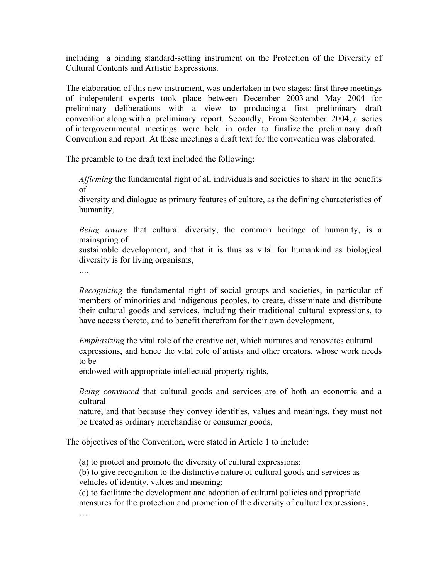including a binding standard-setting instrument on the Protection of the Diversity of Cultural Contents and Artistic Expressions.

The elaboration of this new instrument, was undertaken in two stages: first three meetings of independent experts took place between December 2003 and May 2004 for preliminary deliberations with a view to producing a first preliminary draft convention along with a preliminary report. Secondly, From September 2004, a series of intergovernmental meetings were held in order to finalize the preliminary draft Convention and report. At these meetings a draft text for the convention was elaborated.

The preamble to the draft text included the following:

*Affirming* the fundamental right of all individuals and societies to share in the benefits of

diversity and dialogue as primary features of culture, as the defining characteristics of humanity,

*Being aware* that cultural diversity, the common heritage of humanity, is a mainspring of

sustainable development, and that it is thus as vital for humankind as biological diversity is for living organisms,

*….* 

*Recognizing* the fundamental right of social groups and societies, in particular of members of minorities and indigenous peoples, to create, disseminate and distribute their cultural goods and services, including their traditional cultural expressions, to have access thereto, and to benefit therefrom for their own development,

*Emphasizing* the vital role of the creative act, which nurtures and renovates cultural expressions, and hence the vital role of artists and other creators, whose work needs to be

endowed with appropriate intellectual property rights,

*Being convinced* that cultural goods and services are of both an economic and a cultural

nature, and that because they convey identities, values and meanings, they must not be treated as ordinary merchandise or consumer goods,

The objectives of the Convention, were stated in Article 1 to include:

(a) to protect and promote the diversity of cultural expressions;

(b) to give recognition to the distinctive nature of cultural goods and services as vehicles of identity, values and meaning;

(c) to facilitate the development and adoption of cultural policies and ppropriate measures for the protection and promotion of the diversity of cultural expressions;

…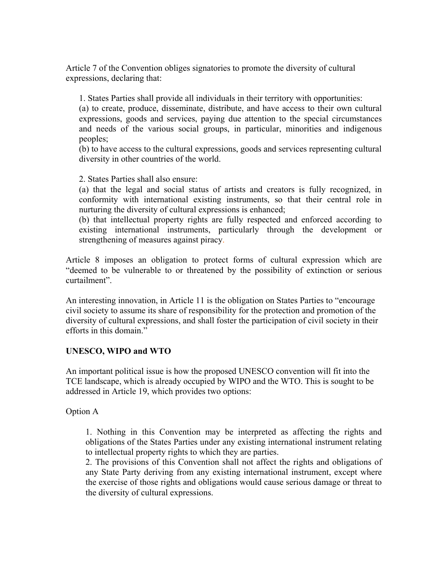Article 7 of the Convention obliges signatories to promote the diversity of cultural expressions, declaring that:

1. States Parties shall provide all individuals in their territory with opportunities:

(a) to create, produce, disseminate, distribute, and have access to their own cultural expressions, goods and services, paying due attention to the special circumstances and needs of the various social groups, in particular, minorities and indigenous peoples;

(b) to have access to the cultural expressions, goods and services representing cultural diversity in other countries of the world.

2. States Parties shall also ensure:

(a) that the legal and social status of artists and creators is fully recognized, in conformity with international existing instruments, so that their central role in nurturing the diversity of cultural expressions is enhanced;

(b) that intellectual property rights are fully respected and enforced according to existing international instruments, particularly through the development or strengthening of measures against piracy.

Article 8 imposes an obligation to protect forms of cultural expression which are "deemed to be vulnerable to or threatened by the possibility of extinction or serious curtailment".

An interesting innovation, in Article 11 is the obligation on States Parties to "encourage civil society to assume its share of responsibility for the protection and promotion of the diversity of cultural expressions, and shall foster the participation of civil society in their efforts in this domain."

# **UNESCO, WIPO and WTO**

An important political issue is how the proposed UNESCO convention will fit into the TCE landscape, which is already occupied by WIPO and the WTO. This is sought to be addressed in Article 19, which provides two options:

# Option A

1. Nothing in this Convention may be interpreted as affecting the rights and obligations of the States Parties under any existing international instrument relating to intellectual property rights to which they are parties.

2. The provisions of this Convention shall not affect the rights and obligations of any State Party deriving from any existing international instrument, except where the exercise of those rights and obligations would cause serious damage or threat to the diversity of cultural expressions.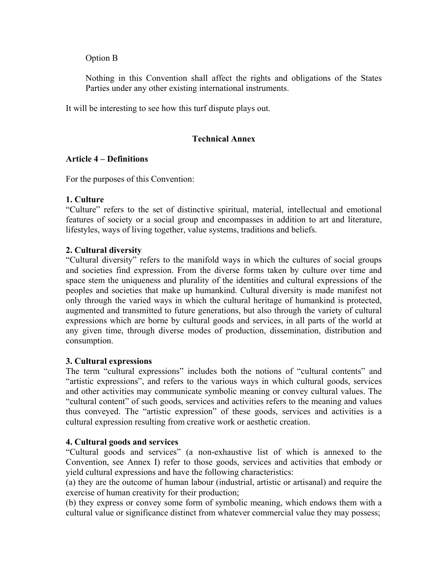Option B

Nothing in this Convention shall affect the rights and obligations of the States Parties under any other existing international instruments.

It will be interesting to see how this turf dispute plays out.

# **Technical Annex**

### **Article 4 – Definitions**

For the purposes of this Convention:

### **1. Culture**

"Culture" refers to the set of distinctive spiritual, material, intellectual and emotional features of society or a social group and encompasses in addition to art and literature, lifestyles, ways of living together, value systems, traditions and beliefs.

### **2. Cultural diversity**

"Cultural diversity" refers to the manifold ways in which the cultures of social groups and societies find expression. From the diverse forms taken by culture over time and space stem the uniqueness and plurality of the identities and cultural expressions of the peoples and societies that make up humankind. Cultural diversity is made manifest not only through the varied ways in which the cultural heritage of humankind is protected, augmented and transmitted to future generations, but also through the variety of cultural expressions which are borne by cultural goods and services, in all parts of the world at any given time, through diverse modes of production, dissemination, distribution and consumption.

# **3. Cultural expressions**

The term "cultural expressions" includes both the notions of "cultural contents" and "artistic expressions", and refers to the various ways in which cultural goods, services and other activities may communicate symbolic meaning or convey cultural values. The "cultural content" of such goods, services and activities refers to the meaning and values thus conveyed. The "artistic expression" of these goods, services and activities is a cultural expression resulting from creative work or aesthetic creation.

#### **4. Cultural goods and services**

"Cultural goods and services" (a non-exhaustive list of which is annexed to the Convention, see Annex I) refer to those goods, services and activities that embody or yield cultural expressions and have the following characteristics:

(a) they are the outcome of human labour (industrial, artistic or artisanal) and require the exercise of human creativity for their production;

(b) they express or convey some form of symbolic meaning, which endows them with a cultural value or significance distinct from whatever commercial value they may possess;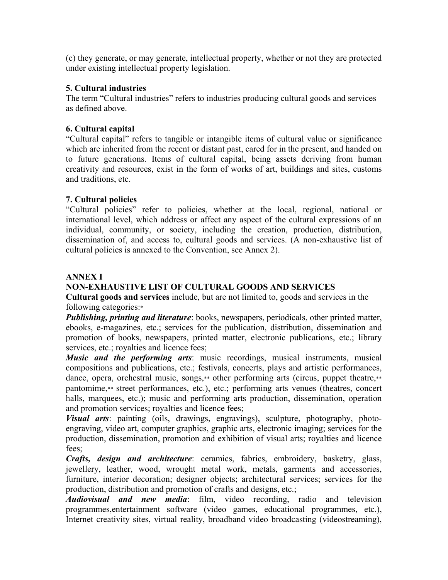(c) they generate, or may generate, intellectual property, whether or not they are protected under existing intellectual property legislation.

## **5. Cultural industries**

The term "Cultural industries" refers to industries producing cultural goods and services as defined above.

## **6. Cultural capital**

"Cultural capital" refers to tangible or intangible items of cultural value or significance which are inherited from the recent or distant past, cared for in the present, and handed on to future generations. Items of cultural capital, being assets deriving from human creativity and resources, exist in the form of works of art, buildings and sites, customs and traditions, etc.

### **7. Cultural policies**

"Cultural policies" refer to policies, whether at the local, regional, national or international level, which address or affect any aspect of the cultural expressions of an individual, community, or society, including the creation, production, distribution, dissemination of, and access to, cultural goods and services. (A non-exhaustive list of cultural policies is annexed to the Convention, see Annex 2).

# **ANNEX I**

# **NON-EXHAUSTIVE LIST OF CULTURAL GOODS AND SERVICES**

**Cultural goods and services** include, but are not limited to, goods and services in the following categories:\*

*Publishing, printing and literature*: books, newspapers, periodicals, other printed matter, ebooks, e-magazines, etc.; services for the publication, distribution, dissemination and promotion of books, newspapers, printed matter, electronic publications, etc.; library services, etc.; royalties and licence fees;

*Music and the performing arts*: music recordings, musical instruments, musical compositions and publications, etc.; festivals, concerts, plays and artistic performances, dance, opera, orchestral music, songs,\*\* other performing arts (circus, puppet theatre,\*\* pantomime,\*\* street performances, etc.), etc.; performing arts venues (theatres, concert halls, marquees, etc.); music and performing arts production, dissemination, operation and promotion services; royalties and licence fees;

*Visual arts*: painting (oils, drawings, engravings), sculpture, photography, photoengraving, video art, computer graphics, graphic arts, electronic imaging; services for the production, dissemination, promotion and exhibition of visual arts; royalties and licence fees;

*Crafts, design and architecture*: ceramics, fabrics, embroidery, basketry, glass, jewellery, leather, wood, wrought metal work, metals, garments and accessories, furniture, interior decoration; designer objects; architectural services; services for the production, distribution and promotion of crafts and designs, etc.;

*Audiovisual and new media*: film, video recording, radio and television programmes,entertainment software (video games, educational programmes, etc.), Internet creativity sites, virtual reality, broadband video broadcasting (videostreaming),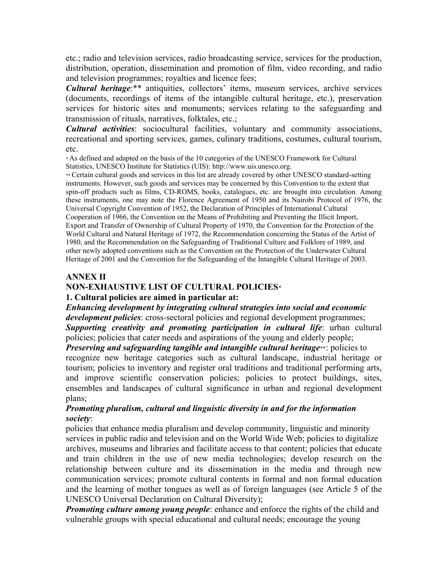etc.; radio and television services, radio broadcasting service, services for the production, distribution, operation, dissemination and promotion of film, video recording, and radio and television programmes; royalties and licence fees;

*Cultural heritage*:\*\* antiquities, collectors' items, museum services, archive services (documents, recordings of items of the intangible cultural heritage, etc.), preservation services for historic sites and monuments; services relating to the safeguarding and transmission of rituals, narratives, folktales, etc.;

*Cultural activities*: sociocultural facilities, voluntary and community associations, recreational and sporting services, games, culinary traditions, costumes, cultural tourism, etc.

\* As defined and adapted on the basis of the 10 categories of the UNESCO Framework for Cultural Statistics, UNESCO Institute for Statistics (UIS): http://www.uis.unesco.org.

\*\* Certain cultural goods and services in this list are already covered by other UNESCO standard-setting instruments. However, such goods and services may be concerned by this Convention to the extent that spin-off products such as films, CD-ROMS, books, catalogues, etc. are brought into circulation. Among these instruments, one may note the Florence Agreement of 1950 and its Nairobi Protocol of 1976, the Universal Copyright Convention of 1952, the Declaration of Principles of International Cultural Cooperation of 1966, the Convention on the Means of Prohibiting and Preventing the Illicit Import, Export and Transfer of Ownership of Cultural Property of 1970, the Convention for the Protection of the World Cultural and Natural Heritage of 1972, the Recommendation concerning the Status of the Artist of 1980, and the Recommendation on the Safeguarding of Traditional Culture and Folklore of 1989, and other newly adopted conventions such as the Convention on the Protection of the Underwater Cultural Heritage of 2001 and the Convention for the Safeguarding of the Intangible Cultural Heritage of 2003.

### **ANNEX II**

### **NON-EXHAUSTIVE LIST OF CULTURAL POLICIES***\**

#### **1. Cultural policies are aimed in particular at:**

*Enhancing development by integrating cultural strategies into social and economic development policies*: cross-sectoral policies and regional development programmes; *Supporting creativity and promoting participation in cultural life*: urban cultural policies; policies that cater needs and aspirations of the young and elderly people;

*Preserving and safeguarding tangible and intangible cultural heritage*\*\*: policies to recognize new heritage categories such as cultural landscape, industrial heritage or tourism; policies to inventory and register oral traditions and traditional performing arts, and improve scientific conservation policies; policies to protect buildings, sites, ensembles and landscapes of cultural significance in urban and regional development plans;

### *Promoting pluralism, cultural and linguistic diversity in and for the information society*:

policies that enhance media pluralism and develop community, linguistic and minority services in public radio and television and on the World Wide Web; policies to digitalize archives, museums and libraries and facilitate access to that content; policies that educate and train children in the use of new media technologies; develop research on the relationship between culture and its dissemination in the media and through new communication services; promote cultural contents in formal and non formal education and the learning of mother tongues as well as of foreign languages (see Article 5 of the UNESCO Universal Declaration on Cultural Diversity);

*Promoting culture among young people*: enhance and enforce the rights of the child and vulnerable groups with special educational and cultural needs; encourage the young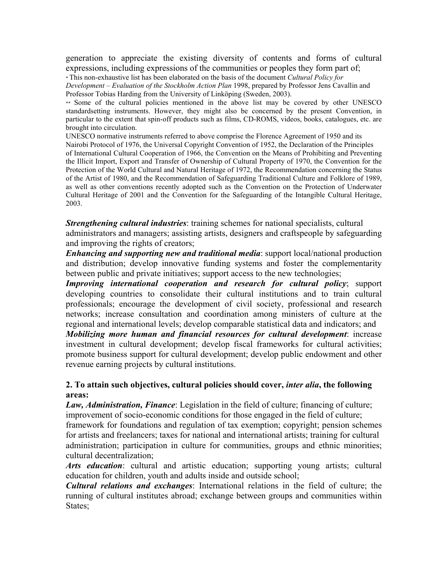generation to appreciate the existing diversity of contents and forms of cultural expressions, including expressions of the communities or peoples they form part of;

\* This non-exhaustive list has been elaborated on the basis of the document *Cultural Policy for* 

*Development – Evaluation of the Stockholm Action Plan* 1998, prepared by Professor Jens Cavallin and Professor Tobias Harding from the University of Linköping (Sweden, 2003).

\*\* Some of the cultural policies mentioned in the above list may be covered by other UNESCO standardsetting instruments. However, they might also be concerned by the present Convention, in particular to the extent that spin-off products such as films, CD-ROMS, videos, books, catalogues, etc. are brought into circulation.

UNESCO normative instruments referred to above comprise the Florence Agreement of 1950 and its Nairobi Protocol of 1976, the Universal Copyright Convention of 1952, the Declaration of the Principles of International Cultural Cooperation of 1966, the Convention on the Means of Prohibiting and Preventing the Illicit Import, Export and Transfer of Ownership of Cultural Property of 1970, the Convention for the Protection of the World Cultural and Natural Heritage of 1972, the Recommendation concerning the Status of the Artist of 1980, and the Recommendation of Safeguarding Traditional Culture and Folklore of 1989, as well as other conventions recently adopted such as the Convention on the Protection of Underwater Cultural Heritage of 2001 and the Convention for the Safeguarding of the Intangible Cultural Heritage, 2003.

*Strengthening cultural industries*: training schemes for national specialists, cultural administrators and managers; assisting artists, designers and craftspeople by safeguarding and improving the rights of creators;

*Enhancing and supporting new and traditional media*: support local/national production and distribution; develop innovative funding systems and foster the complementarity between public and private initiatives; support access to the new technologies;

*Improving international cooperation and research for cultural policy*; support developing countries to consolidate their cultural institutions and to train cultural professionals; encourage the development of civil society, professional and research networks; increase consultation and coordination among ministers of culture at the regional and international levels; develop comparable statistical data and indicators; and

*Mobilizing more human and financial resources for cultural development*: increase investment in cultural development; develop fiscal frameworks for cultural activities; promote business support for cultural development; develop public endowment and other revenue earning projects by cultural institutions.

### **2. To attain such objectives, cultural policies should cover,** *inter alia***, the following areas:**

*Law, Administration, Finance*: Legislation in the field of culture; financing of culture; improvement of socio-economic conditions for those engaged in the field of culture;

framework for foundations and regulation of tax exemption; copyright; pension schemes for artists and freelancers; taxes for national and international artists; training for cultural administration; participation in culture for communities, groups and ethnic minorities; cultural decentralization;

*Arts education*: cultural and artistic education; supporting young artists; cultural education for children, youth and adults inside and outside school;

*Cultural relations and exchanges*: International relations in the field of culture; the running of cultural institutes abroad; exchange between groups and communities within States;